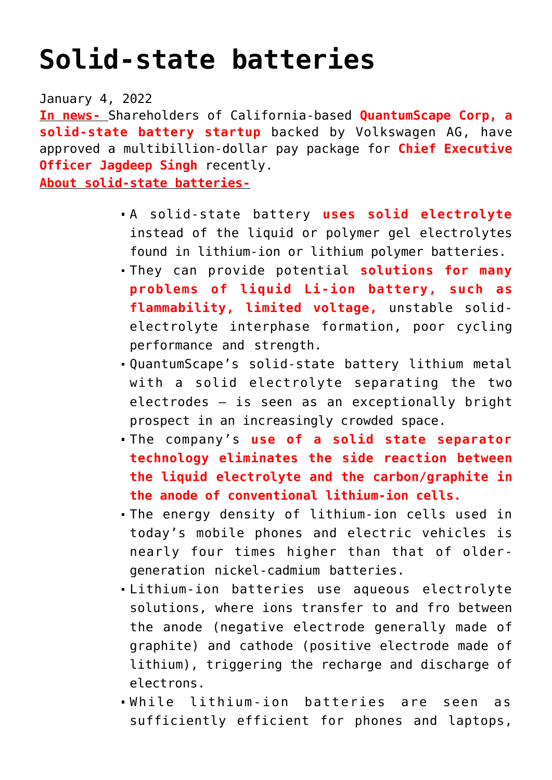## **[Solid-state batteries](https://journalsofindia.com/solid-state-batteries/)**

January 4, 2022

**In news-** Shareholders of California-based **QuantumScape Corp, a solid-state battery startup** backed by Volkswagen AG, have approved a multibillion-dollar pay package for **Chief Executive Officer Jagdeep Singh** recently.

**About solid-state batteries-**

- A solid-state battery **uses solid electrolyte** instead of the liquid or polymer gel electrolytes found in lithium-ion or lithium polymer batteries.
- They can provide potential **solutions for many problems of liquid Li-ion battery, such as flammability, limited voltage,** unstable solidelectrolyte interphase formation, poor cycling performance and strength.
- QuantumScape's solid-state battery lithium metal with a solid electrolyte separating the two electrodes — is seen as an exceptionally bright prospect in an increasingly crowded space.
- The company's **use of a solid state separator technology eliminates the side reaction between the liquid electrolyte and the carbon/graphite in the anode of conventional lithium-ion cells.**
- The energy density of lithium-ion cells used in today's mobile phones and electric vehicles is nearly four times higher than that of oldergeneration nickel-cadmium batteries.
- Lithium-ion batteries use aqueous electrolyte solutions, where ions transfer to and fro between the anode (negative electrode generally made of graphite) and cathode (positive electrode made of lithium), triggering the recharge and discharge of electrons.
- While lithium-ion batteries are seen as sufficiently efficient for phones and laptops,